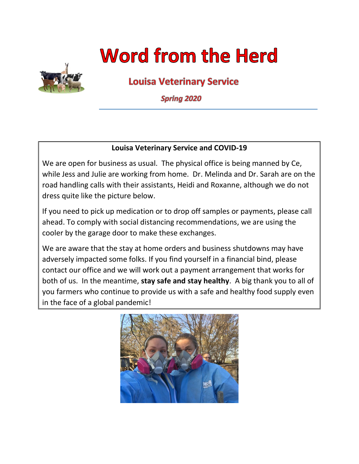# **Word from the Herd**



**Louisa Veterinary Service** 

**Spring 2020** 

#### **Louisa Veterinary Service and COVID-19**

We are open for business as usual. The physical office is being manned by Ce, while Jess and Julie are working from home. Dr. Melinda and Dr. Sarah are on the road handling calls with their assistants, Heidi and Roxanne, although we do not dress quite like the picture below.

If you need to pick up medication or to drop off samples or payments, please call ahead. To comply with social distancing recommendations, we are using the cooler by the garage door to make these exchanges.

We are aware that the stay at home orders and business shutdowns may have adversely impacted some folks. If you find yourself in a financial bind, please contact our office and we will work out a payment arrangement that works for both of us. In the meantime, **stay safe and stay healthy**. A big thank you to all of you farmers who continue to provide us with a safe and healthy food supply even in the face of a global pandemic!

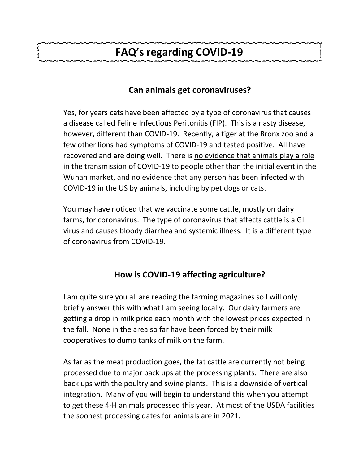# **FAQ's regarding COVID-19**

## **Can animals get coronaviruses?**

Yes, for years cats have been affected by a type of coronavirus that causes a disease called Feline Infectious Peritonitis (FIP). This is a nasty disease, however, different than COVID-19. Recently, a tiger at the Bronx zoo and a few other lions had symptoms of COVID-19 and tested positive. All have recovered and are doing well. There is no evidence that animals play a role in the transmission of COVID-19 to people other than the initial event in the Wuhan market, and no evidence that any person has been infected with COVID-19 in the US by animals, including by pet dogs or cats.

You may have noticed that we vaccinate some cattle, mostly on dairy farms, for coronavirus. The type of coronavirus that affects cattle is a GI virus and causes bloody diarrhea and systemic illness. It is a different type of coronavirus from COVID-19.

# **How is COVID-19 affecting agriculture?**

I am quite sure you all are reading the farming magazines so I will only briefly answer this with what I am seeing locally. Our dairy farmers are getting a drop in milk price each month with the lowest prices expected in the fall. None in the area so far have been forced by their milk cooperatives to dump tanks of milk on the farm.

As far as the meat production goes, the fat cattle are currently not being processed due to major back ups at the processing plants. There are also back ups with the poultry and swine plants. This is a downside of vertical integration. Many of you will begin to understand this when you attempt to get these 4-H animals processed this year. At most of the USDA facilities the soonest processing dates for animals are in 2021.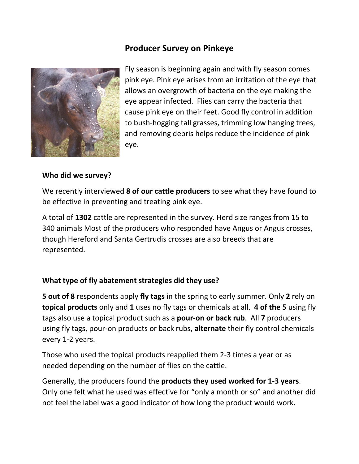## **Producer Survey on Pinkeye**



Fly season is beginning again and with fly season comes pink eye. Pink eye arises from an irritation of the eye that allows an overgrowth of bacteria on the eye making the eye appear infected. Flies can carry the bacteria that cause pink eye on their feet. Good fly control in addition to bush-hogging tall grasses, trimming low hanging trees, and removing debris helps reduce the incidence of pink eye.

#### **Who did we survey?**

We recently interviewed **8 of our cattle producers** to see what they have found to be effective in preventing and treating pink eye.

A total of **1302** cattle are represented in the survey. Herd size ranges from 15 to 340 animals Most of the producers who responded have Angus or Angus crosses, though Hereford and Santa Gertrudis crosses are also breeds that are represented.

#### **What type of fly abatement strategies did they use?**

**5 out of 8** respondents apply **fly tags** in the spring to early summer. Only **2** rely on **topical products** only and **1** uses no fly tags or chemicals at all. **4 of the 5** using fly tags also use a topical product such as a **pour-on or back rub**. All **7** producers using fly tags, pour-on products or back rubs, **alternate** their fly control chemicals every 1-2 years.

Those who used the topical products reapplied them 2-3 times a year or as needed depending on the number of flies on the cattle.

Generally, the producers found the **products they used worked for 1-3 years**. Only one felt what he used was effective for "only a month or so" and another did not feel the label was a good indicator of how long the product would work.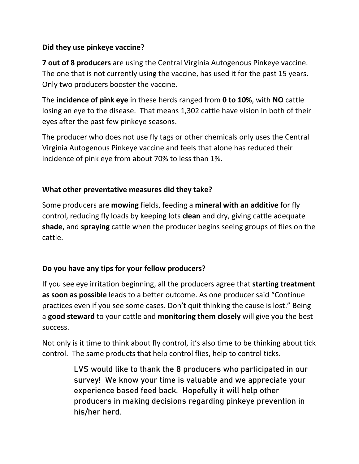#### **Did they use pinkeye vaccine?**

**7 out of 8 producers** are using the Central Virginia Autogenous Pinkeye vaccine. The one that is not currently using the vaccine, has used it for the past 15 years. Only two producers booster the vaccine.

The **incidence of pink eye** in these herds ranged from **0 to 10%**, with **NO** cattle losing an eye to the disease. That means 1,302 cattle have vision in both of their eyes after the past few pinkeye seasons.

The producer who does not use fly tags or other chemicals only uses the Central Virginia Autogenous Pinkeye vaccine and feels that alone has reduced their incidence of pink eye from about 70% to less than 1%.

#### **What other preventative measures did they take?**

Some producers are **mowing** fields, feeding a **mineral with an additive** for fly control, reducing fly loads by keeping lots **clean** and dry, giving cattle adequate **shade**, and **spraying** cattle when the producer begins seeing groups of flies on the cattle.

#### **Do you have any tips for your fellow producers?**

If you see eye irritation beginning, all the producers agree that **starting treatment as soon as possible** leads to a better outcome. As one producer said "Continue practices even if you see some cases. Don't quit thinking the cause is lost." Being a **good steward** to your cattle and **monitoring them closely** will give you the best success.

Not only is it time to think about fly control, it's also time to be thinking about tick control. The same products that help control flies, help to control ticks.

> LVS would like to thank the 8 producers who participated in our survey! We know your time is valuable and we appreciate your experience based feed back. Hopefully it will help other producers in making decisions regarding pinkeye prevention in his/her herd.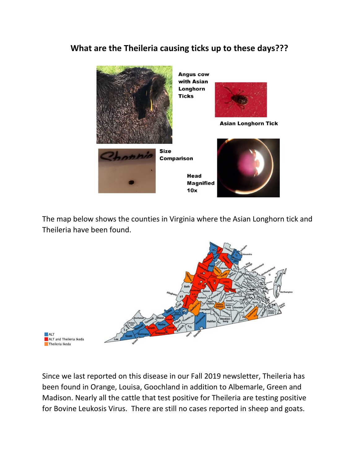## **What are the Theileria causing ticks up to these days???**



The map below shows the counties in Virginia where the Asian Longhorn tick and Theileria have been found.



Since we last reported on this disease in our Fall 2019 newsletter, Theileria has been found in Orange, Louisa, Goochland in addition to Albemarle, Green and Madison. Nearly all the cattle that test positive for Theileria are testing positive for Bovine Leukosis Virus. There are still no cases reported in sheep and goats.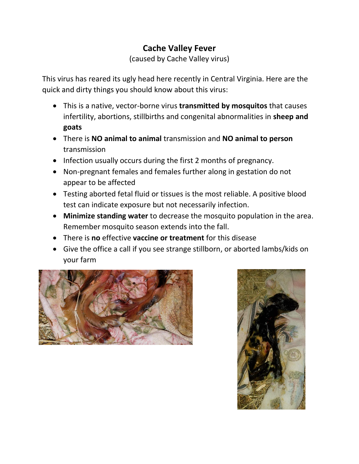# **Cache Valley Fever**

(caused by Cache Valley virus)

This virus has reared its ugly head here recently in Central Virginia. Here are the quick and dirty things you should know about this virus:

- This is a native, vector-borne virus **transmitted by mosquitos** that causes infertility, abortions, stillbirths and congenital abnormalities in **sheep and goats**
- There is **NO animal to animal** transmission and **NO animal to person** transmission
- Infection usually occurs during the first 2 months of pregnancy.
- Non-pregnant females and females further along in gestation do not appear to be affected
- Testing aborted fetal fluid or tissues is the most reliable. A positive blood test can indicate exposure but not necessarily infection.
- **Minimize standing water** to decrease the mosquito population in the area. Remember mosquito season extends into the fall.
- There is **no** effective **vaccine or treatment** for this disease
- Give the office a call if you see strange stillborn, or aborted lambs/kids on your farm